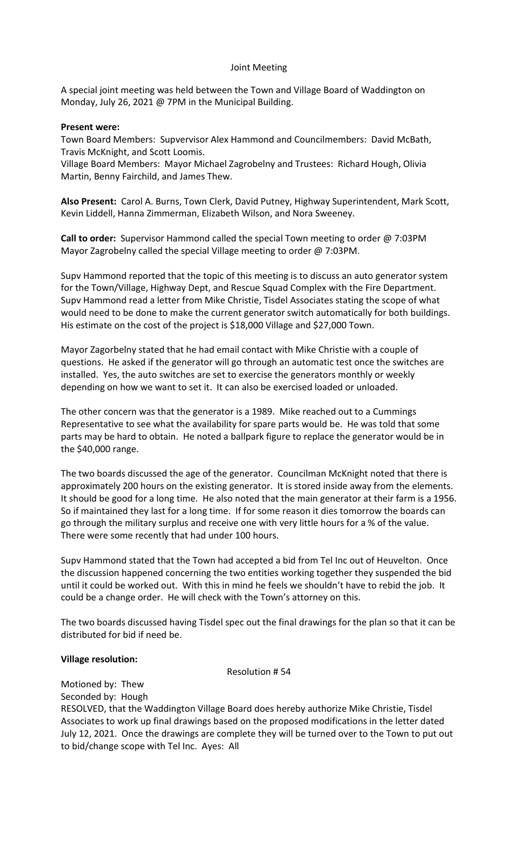#### Joint Meeting

A special joint meeting was held between the Town and Village Board of Waddington on Monday, July 26, 2021 @ 7PM in the Municipal Building.

#### **Present were:**

Town Board Members: Supvervisor Alex Hammond and Councilmembers: David McBath, Travis McKnight, and Scott Loomis.

Village Board Members: Mayor Michael Zagrobelny and Trustees: Richard Hough, Olivia Martin, Benny Fairchild, and James Thew.

**Also Present:** Carol A. Burns, Town Clerk, David Putney, Highway Superintendent, Mark Scott, Kevin Liddell, Hanna Zimmerman, Elizabeth Wilson, and Nora Sweeney.

**Call to order:** Supervisor Hammond called the special Town meeting to order @ 7:03PM Mayor Zagrobelny called the special Village meeting to order @ 7:03PM.

Supv Hammond reported that the topic of this meeting is to discuss an auto generator system for the Town/Village, Highway Dept, and Rescue Squad Complex with the Fire Department. Supv Hammond read a letter from Mike Christie, Tisdel Associates stating the scope of what would need to be done to make the current generator switch automatically for both buildings. His estimate on the cost of the project is \$18,000 Village and \$27,000 Town.

Mayor Zagorbelny stated that he had email contact with Mike Christie with a couple of questions. He asked if the generator will go through an automatic test once the switches are installed. Yes, the auto switches are set to exercise the generators monthly or weekly depending on how we want to set it. It can also be exercised loaded or unloaded.

The other concern was that the generator is a 1989. Mike reached out to a Cummings Representative to see what the availability for spare parts would be. He was told that some parts may be hard to obtain. He noted a ballpark figure to replace the generator would be in the \$40,000 range.

The two boards discussed the age of the generator. Councilman McKnight noted that there is approximately 200 hours on the existing generator. It is stored inside away from the elements. It should be good for a long time. He also noted that the main generator at their farm is a 1956. So if maintained they last for a long time. If for some reason it dies tomorrow the boards can go through the military surplus and receive one with very little hours for a % of the value. There were some recently that had under 100 hours.

Supv Hammond stated that the Town had accepted a bid from Tel Inc out of Heuvelton. Once the discussion happened concerning the two entities working together they suspended the bid until it could be worked out. With this in mind he feels we shouldn't have to rebid the job. It could be a change order. He will check with the Town's attorney on this.

The two boards discussed having Tisdel spec out the final drawings for the plan so that it can be distributed for bid if need be.

### **Village resolution:**

Resolution # 54

Motioned by: Thew

Seconded by: Hough

RESOLVED, that the Waddington Village Board does hereby authorize Mike Christie, Tisdel Associates to work up final drawings based on the proposed modifications in the letter dated July 12, 2021. Once the drawings are complete they will be turned over to the Town to put out to bid/change scope with Tel Inc. Ayes: All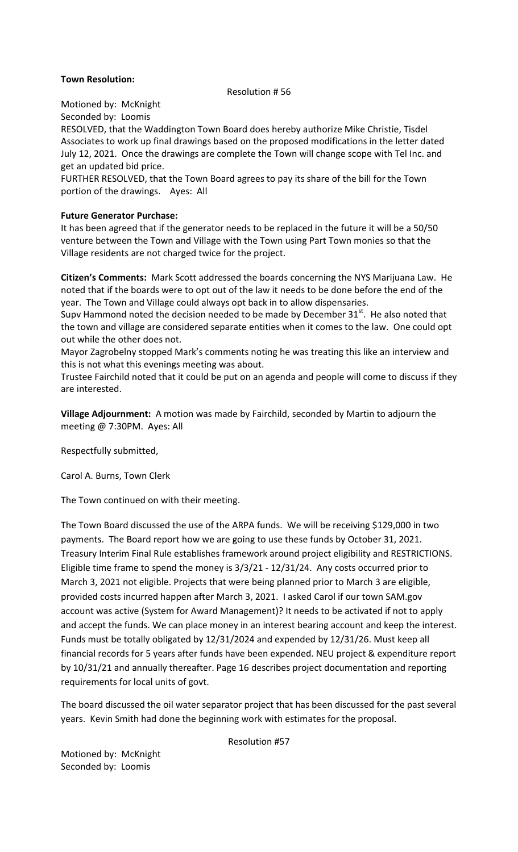# **Town Resolution:**

#### Resolution # 56

Motioned by: McKnight

Seconded by: Loomis

RESOLVED, that the Waddington Town Board does hereby authorize Mike Christie, Tisdel Associates to work up final drawings based on the proposed modifications in the letter dated July 12, 2021. Once the drawings are complete the Town will change scope with Tel Inc. and get an updated bid price.

FURTHER RESOLVED, that the Town Board agrees to pay its share of the bill for the Town portion of the drawings. Ayes: All

# **Future Generator Purchase:**

It has been agreed that if the generator needs to be replaced in the future it will be a 50/50 venture between the Town and Village with the Town using Part Town monies so that the Village residents are not charged twice for the project.

**Citizen's Comments:** Mark Scott addressed the boards concerning the NYS Marijuana Law. He noted that if the boards were to opt out of the law it needs to be done before the end of the year. The Town and Village could always opt back in to allow dispensaries.

Supv Hammond noted the decision needed to be made by December  $31<sup>st</sup>$ . He also noted that the town and village are considered separate entities when it comes to the law. One could opt out while the other does not.

Mayor Zagrobelny stopped Mark's comments noting he was treating this like an interview and this is not what this evenings meeting was about.

Trustee Fairchild noted that it could be put on an agenda and people will come to discuss if they are interested.

**Village Adjournment:** A motion was made by Fairchild, seconded by Martin to adjourn the meeting @ 7:30PM. Ayes: All

Respectfully submitted,

Carol A. Burns, Town Clerk

The Town continued on with their meeting.

The Town Board discussed the use of the ARPA funds. We will be receiving \$129,000 in two payments. The Board report how we are going to use these funds by October 31, 2021. Treasury Interim Final Rule establishes framework around project eligibility and RESTRICTIONS. Eligible time frame to spend the money is 3/3/21 - 12/31/24. Any costs occurred prior to March 3, 2021 not eligible. Projects that were being planned prior to March 3 are eligible, provided costs incurred happen after March 3, 2021. I asked Carol if our town SAM.gov account was active (System for Award Management)? It needs to be activated if not to apply and accept the funds. We can place money in an interest bearing account and keep the interest. Funds must be totally obligated by 12/31/2024 and expended by 12/31/26. Must keep all financial records for 5 years after funds have been expended. NEU project & expenditure report by 10/31/21 and annually thereafter. Page 16 describes project documentation and reporting requirements for local units of govt.

The board discussed the oil water separator project that has been discussed for the past several years. Kevin Smith had done the beginning work with estimates for the proposal.

Resolution #57

Motioned by: McKnight Seconded by: Loomis